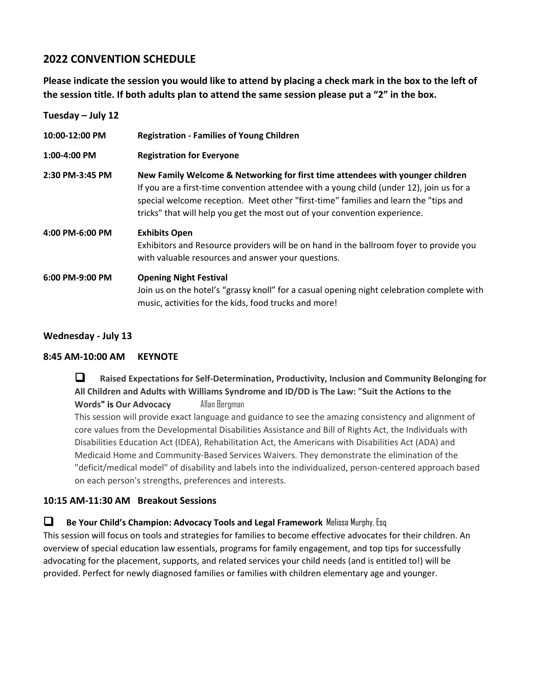# **2022 CONVENTION SCHEDULE**

**Please indicate the session you would like to attend by placing a check mark in the box to the left of the session title. If both adults plan to attend the same session please put a "2" in the box.**

| Tuesday $-$ July 12 |                                                                                                                                                                                                                                                                                                                                                 |
|---------------------|-------------------------------------------------------------------------------------------------------------------------------------------------------------------------------------------------------------------------------------------------------------------------------------------------------------------------------------------------|
| 10:00-12:00 PM      | <b>Registration - Families of Young Children</b>                                                                                                                                                                                                                                                                                                |
| 1:00-4:00 PM        | <b>Registration for Everyone</b>                                                                                                                                                                                                                                                                                                                |
| 2:30 PM-3:45 PM     | New Family Welcome & Networking for first time attendees with younger children<br>If you are a first-time convention attendee with a young child (under 12), join us for a<br>special welcome reception. Meet other "first-time" families and learn the "tips and<br>tricks" that will help you get the most out of your convention experience. |
| 4:00 PM-6:00 PM     | <b>Exhibits Open</b><br>Exhibitors and Resource providers will be on hand in the ballroom foyer to provide you<br>with valuable resources and answer your questions.                                                                                                                                                                            |
| 6:00 PM-9:00 PM     | <b>Opening Night Festival</b><br>Join us on the hotel's "grassy knoll" for a casual opening night celebration complete with<br>music, activities for the kids, food trucks and more!                                                                                                                                                            |

### **Wednesday - July 13**

#### **8:45 AM-10:00 AM KEYNOTE**

❑ **Raised Expectations for Self-Determination, Productivity, Inclusion and Community Belonging for All Children and Adults with Williams Syndrome and ID/DD is The Law: "Suit the Actions to the Words" is Our Advocacy** Allan Bergman This session will provide exact language and guidance to see the amazing consistency and alignment of core values from the Developmental Disabilities Assistance and Bill of Rights Act, the Individuals with Disabilities Education Act (IDEA), Rehabilitation Act, the Americans with Disabilities Act (ADA) and Medicaid Home and Community-Based Services Waivers. They demonstrate the elimination of the "deficit/medical model" of disability and labels into the individualized, person-centered approach based on each person's strengths, preferences and interests.

#### **10:15 AM-11:30 AM Breakout Sessions**

❑ **Be Your Child's Champion: Advocacy Tools and Legal Framework** Melissa Murphy, Esq

This session will focus on tools and strategies for families to become effective advocates for their children. An overview of special education law essentials, programs for family engagement, and top tips for successfully advocating for the placement, supports, and related services your child needs (and is entitled to!) will be provided. Perfect for newly diagnosed families or families with children elementary age and younger.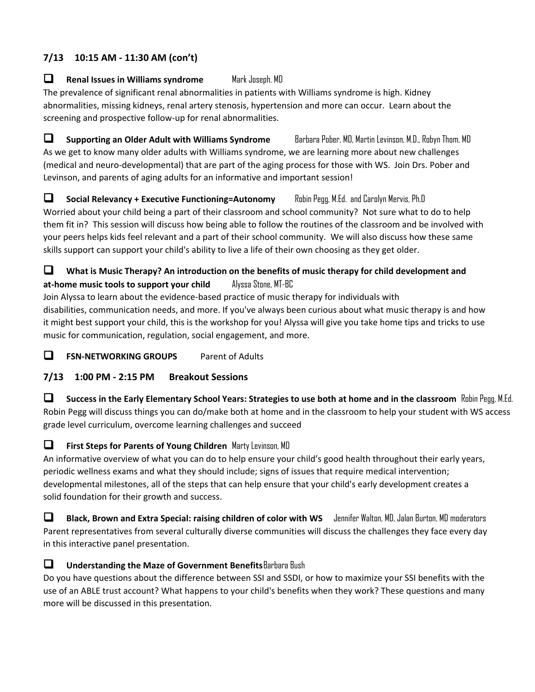# **7/13 10:15 AM - 11:30 AM (con't)**

### ❑ **Renal Issues in Williams syndrome** Mark Joseph. MD

The prevalence of significant renal abnormalities in patients with Williams syndrome is high. Kidney abnormalities, missing kidneys, renal artery stenosis, hypertension and more can occur. Learn about the screening and prospective follow-up for renal abnormalities.

❑ **Supporting an Older Adult with Williams Syndrome** Barbara Pober, MD, Martin Levinson, M.D., Robyn Thom, MD As we get to know many older adults with Williams syndrome, we are learning more about new challenges (medical and neuro-developmental) that are part of the aging process for those with WS. Join Drs. Pober and Levinson, and parents of aging adults for an informative and important session!

❑ **Social Relevancy + Executive Functioning=Autonomy** Robin Pegg, M.Ed. and Carolyn Mervis, Ph.D Worried about your child being a part of their classroom and school community? Not sure what to do to help them fit in? This session will discuss how being able to follow the routines of the classroom and be involved with your peers helps kids feel relevant and a part of their school community. We will also discuss how these same skills support can support your child's ability to live a life of their own choosing as they get older.

### ❑ **What is Music Therapy? An introduction on the benefits of music therapy for child development and at-home music tools to support your child** Alyssa Stone, MT-BC

Join Alyssa to learn about the evidence-based practice of music therapy for individuals with disabilities, communication needs, and more. If you've always been curious about what music therapy is and how it might best support your child, this is the workshop for you! Alyssa will give you take home tips and tricks to use music for communication, regulation, social engagement, and more.

❑ **FSN-NETWORKING GROUPS** Parent of Adults

### **7/13 1:00 PM - 2:15 PM Breakout Sessions**

❑ **Success in the Early Elementary School Years: Strategies to use both at home and in the classroom** Robin Pegg, M.Ed. Robin Pegg will discuss things you can do/make both at home and in the classroom to help your student with WS access grade level curriculum, overcome learning challenges and succeed

### ❑ **First Steps for Parents of Young Children** Marty Levinson, MD

An informative overview of what you can do to help ensure your child's good health throughout their early years, periodic wellness exams and what they should include; signs of issues that require medical intervention; developmental milestones, all of the steps that can help ensure that your child's early development creates a solid foundation for their growth and success.

❑ **Black, Brown and Extra Special: raising children of color with WS** Jennifer Walton, MD, Jalan Burton, MD moderators Parent representatives from several culturally diverse communities will discuss the challenges they face every day in this interactive panel presentation.

### ❑ **Understanding the Maze of Government Benefits**Barbara Bush

Do you have questions about the difference between SSI and SSDI, or how to maximize your SSI benefits with the use of an ABLE trust account? What happens to your child's benefits when they work? These questions and many more will be discussed in this presentation.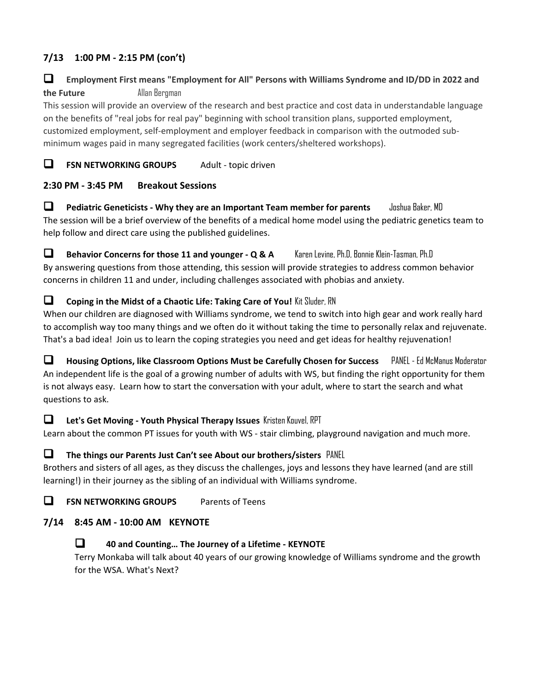# **7/13 1:00 PM - 2:15 PM (con't)**

# ❑ **Employment First means "Employment for All" Persons with Williams Syndrome and ID/DD in 2022 and the Future Allan Bergman**

This session will provide an overview of the research and best practice and cost data in understandable language on the benefits of "real jobs for real pay" beginning with school transition plans, supported employment, customized employment, self-employment and employer feedback in comparison with the outmoded subminimum wages paid in many segregated facilities (work centers/sheltered workshops).

# ❑ **FSN NETWORKING GROUPS** Adult - topic driven

### **2:30 PM - 3:45 PM Breakout Sessions**

❑ **Pediatric Geneticists - Why they are an Important Team member for parents** Joshua Baker, MD The session will be a brief overview of the benefits of a medical home model using the pediatric genetics team to help follow and direct care using the published guidelines.

❑ **Behavior Concerns for those 11 and younger - Q & A** Karen Levine, Ph.D, Bonnie Klein-Tasman, Ph.D By answering questions from those attending, this session will provide strategies to address common behavior concerns in children 11 and under, including challenges associated with phobias and anxiety.

### ❑ **Coping in the Midst of a Chaotic Life: Taking Care of You!** Kit Sluder, RN

When our children are diagnosed with Williams syndrome, we tend to switch into high gear and work really hard to accomplish way too many things and we often do it without taking the time to personally relax and rejuvenate. That's a bad idea! Join us to learn the coping strategies you need and get ideas for healthy rejuvenation!

❑ **Housing Options, like Classroom Options Must be Carefully Chosen for Success** PANEL - Ed McManus Moderator An independent life is the goal of a growing number of adults with WS, but finding the right opportunity for them is not always easy. Learn how to start the conversation with your adult, where to start the search and what questions to ask.

### ❑ **Let's Get Moving - Youth Physical Therapy Issues** Kristen Kouvel, RPT

Learn about the common PT issues for youth with WS - stair climbing, playground navigation and much more.

#### ❑ **The things our Parents Just Can't see About our brothers/sisters** PANEL

Brothers and sisters of all ages, as they discuss the challenges, joys and lessons they have learned (and are still learning!) in their journey as the sibling of an individual with Williams syndrome.

❑ **FSN NETWORKING GROUPS** Parents of Teens

### **7/14 8:45 AM - 10:00 AM KEYNOTE**

### ❑ **40 and Counting… The Journey of a Lifetime - KEYNOTE**

Terry Monkaba will talk about 40 years of our growing knowledge of Williams syndrome and the growth for the WSA. What's Next?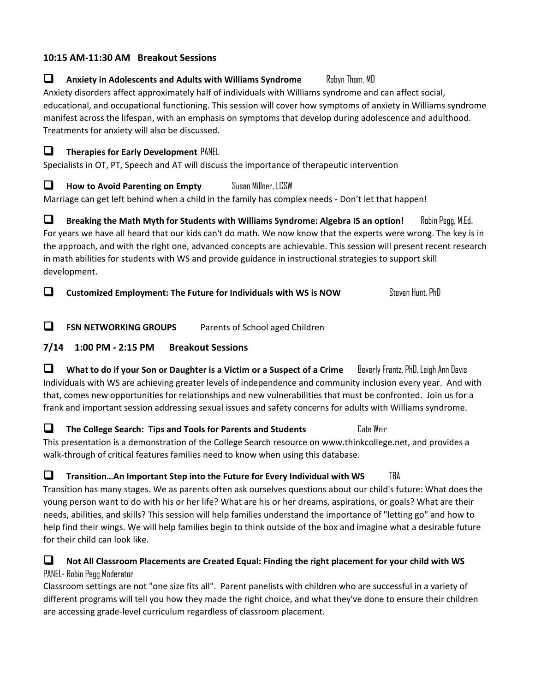### **10:15 AM-11:30 AM Breakout Sessions**

### ❑ **Anxiety in Adolescents and Adults with Williams Syndrome** Robyn Thom, MD

Anxiety disorders affect approximately half of individuals with Williams syndrome and can affect social, educational, and occupational functioning. This session will cover how symptoms of anxiety in Williams syndrome manifest across the lifespan, with an emphasis on symptoms that develop during adolescence and adulthood. Treatments for anxiety will also be discussed.

❑ **Therapies for Early Development** PANEL

Specialists in OT, PT, Speech and AT will discuss the importance of therapeutic intervention

❑ **How to Avoid Parenting on Empty** Susan Millner, LCSW

Marriage can get left behind when a child in the family has complex needs - Don't let that happen!

❑ **Breaking the Math Myth for Students with Williams Syndrome: Algebra IS an option!** Robin Pegg, M.Ed. For years we have all heard that our kids can't do math. We now know that the experts were wrong. The key is in the approach, and with the right one, advanced concepts are achievable. This session will present recent research in math abilities for students with WS and provide guidance in instructional strategies to support skill development.

**□** Customized Employment: The Future for Individuals with WS is NOW Steven Hunt, PhD

❑ **FSN NETWORKING GROUPS** Parents of School aged Children

### **7/14 1:00 PM - 2:15 PM Breakout Sessions**

❑ **What to do if your Son or Daughter is a Victim or a Suspect of a Crime** Beverly Frantz, PhD, Leigh Ann Davis Individuals with WS are achieving greater levels of independence and community inclusion every year. And with that, comes new opportunities for relationships and new vulnerabilities that must be confronted. Join us for a frank and important session addressing sexual issues and safety concerns for adults with Williams syndrome.

❑ **The College Search: Tips and Tools for Parents and Students** Cate Weir This presentation is a demonstration of the College Search resource on www.thinkcollege.net, and provides a walk-through of critical features families need to know when using this database.

❑ **Transition…An Important Step into the Future for Every Individual with WS** TBA Transition has many stages. We as parents often ask ourselves questions about our child's future: What does the young person want to do with his or her life? What are his or her dreams, aspirations, or goals? What are their needs, abilities, and skills? This session will help families understand the importance of "letting go" and how to help find their wings. We will help families begin to think outside of the box and imagine what a desirable future for their child can look like.

# ❑ **Not All Classroom Placements are Created Equal: Finding the right placement for your child with WS** PANEL- Robin Pegg Moderator

Classroom settings are not "one size fits all". Parent panelists with children who are successful in a variety of different programs will tell you how they made the right choice, and what they've done to ensure their children are accessing grade-level curriculum regardless of classroom placement.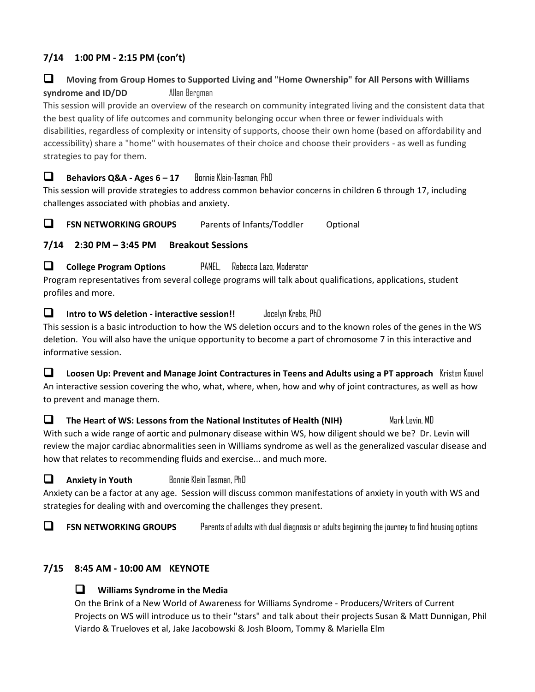# **7/14 1:00 PM - 2:15 PM (con't)**

### ❑ **Moving from Group Homes to Supported Living and "Home Ownership" for All Persons with Williams syndrome and ID/DD** Allan Bergman

This session will provide an overview of the research on community integrated living and the consistent data that the best quality of life outcomes and community belonging occur when three or fewer individuals with disabilities, regardless of complexity or intensity of supports, choose their own home (based on affordability and accessibility) share a "home" with housemates of their choice and choose their providers - as well as funding strategies to pay for them.

❑ **Behaviors Q&A - Ages 6 – 17** Bonnie Klein-Tasman, PhD

This session will provide strategies to address common behavior concerns in children 6 through 17, including challenges associated with phobias and anxiety.

❑ **FSN NETWORKING GROUPS** Parents of Infants/Toddler Optional

**7/14 2:30 PM – 3:45 PM Breakout Sessions**

❑ **College Program Options** PANEL, Rebecca Lazo, Moderator

Program representatives from several college programs will talk about qualifications, applications, student profiles and more.

❑ **Intro to WS deletion - interactive session!!** Jocelyn Krebs, PhD This session is a basic introduction to how the WS deletion occurs and to the known roles of the genes in the WS deletion. You will also have the unique opportunity to become a part of chromosome 7 in this interactive and informative session.

❑ **Loosen Up: Prevent and Manage Joint Contractures in Teens and Adults using a PT approach** Kristen Kouvel An interactive session covering the who, what, where, when, how and why of joint contractures, as well as how to prevent and manage them.

❑ **The Heart of WS: Lessons from the National Institutes of Health (NIH)** Mark Levin, MD With such a wide range of aortic and pulmonary disease within WS, how diligent should we be? Dr. Levin will review the major cardiac abnormalities seen in Williams syndrome as well as the generalized vascular disease and how that relates to recommending fluids and exercise... and much more.

❑ **Anxiety in Youth** Bonnie Klein Tasman, PhD Anxiety can be a factor at any age. Session will discuss common manifestations of anxiety in youth with WS and strategies for dealing with and overcoming the challenges they present.

❑ **FSN NETWORKING GROUPS** Parents of adults with dual diagnosis or adults beginning the journey to find housing options

### **7/15 8:45 AM - 10:00 AM KEYNOTE**

#### ❑ **Williams Syndrome in the Media**

On the Brink of a New World of Awareness for Williams Syndrome - Producers/Writers of Current Projects on WS will introduce us to their "stars" and talk about their projects Susan & Matt Dunnigan, Phil Viardo & Trueloves et al, Jake Jacobowski & Josh Bloom, Tommy & Mariella Elm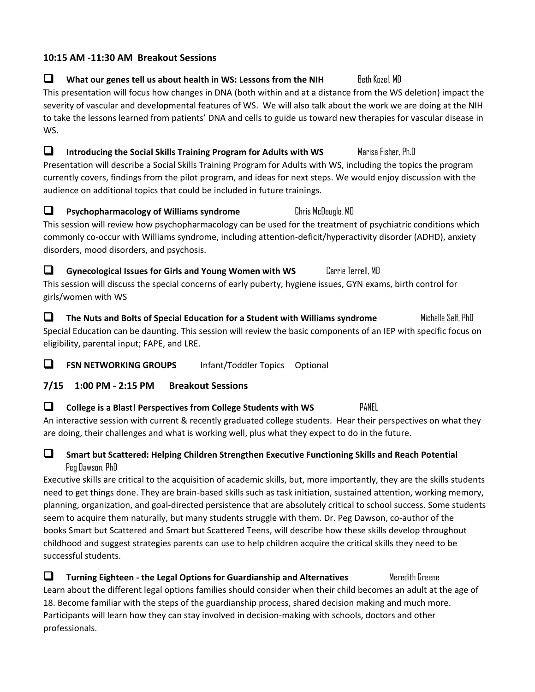### **10:15 AM -11:30 AM Breakout Sessions**

# ■ What our genes tell us about health in WS: Lessons from the NIH Beth Kozel, MD This presentation will focus how changes in DNA (both within and at a distance from the WS deletion) impact the severity of vascular and developmental features of WS. We will also talk about the work we are doing at the NIH to take the lessons learned from patients' DNA and cells to guide us toward new therapies for vascular disease in WS.

- ❑ **Introducing the Social Skills Training Program for Adults with WS** Marisa Fisher, Ph.D Presentation will describe a Social Skills Training Program for Adults with WS, including the topics the program currently covers, findings from the pilot program, and ideas for next steps. We would enjoy discussion with the audience on additional topics that could be included in future trainings.
- ❑ **Psychopharmacology of Williams syndrome** Chris McDougle, MD This session will review how psychopharmacology can be used for the treatment of psychiatric conditions which commonly co-occur with Williams syndrome, including attention-deficit/hyperactivity disorder (ADHD), anxiety disorders, mood disorders, and psychosis.
- ❑ **Gynecological Issues for Girls and Young Women with WS** Carrie Terrell, MD This session will discuss the special concerns of early puberty, hygiene issues, GYN exams, birth control for girls/women with WS
- ❑ **The Nuts and Bolts of Special Education for a Student with Williams syndrome** Michelle Self, PhD Special Education can be daunting. This session will review the basic components of an IEP with specific focus on eligibility, parental input; FAPE, and LRE.

❑ **FSN NETWORKING GROUPS** Infant/Toddler Topics Optional

# **7/15 1:00 PM - 2:15 PM Breakout Sessions**

❑ **College is a Blast! Perspectives from College Students with WS** PANEL An interactive session with current & recently graduated college students. Hear their perspectives on what they are doing, their challenges and what is working well, plus what they expect to do in the future.

# ❑ **Smart but Scattered: Helping Children Strengthen Executive Functioning Skills and Reach Potential** Peg Dawson, PhD

Executive skills are critical to the acquisition of academic skills, but, more importantly, they are the skills students need to get things done. They are brain-based skills such as task initiation, sustained attention, working memory, planning, organization, and goal-directed persistence that are absolutely critical to school success. Some students seem to acquire them naturally, but many students struggle with them. Dr. Peg Dawson, co-author of the books Smart but Scattered and Smart but Scattered Teens, will describe how these skills develop throughout childhood and suggest strategies parents can use to help children acquire the critical skills they need to be successful students.

❑ **Turning Eighteen - the Legal Options for Guardianship and Alternatives** Meredith Greene Learn about the different legal options families should consider when their child becomes an adult at the age of 18. Become familiar with the steps of the guardianship process, shared decision making and much more. Participants will learn how they can stay involved in decision-making with schools, doctors and other professionals.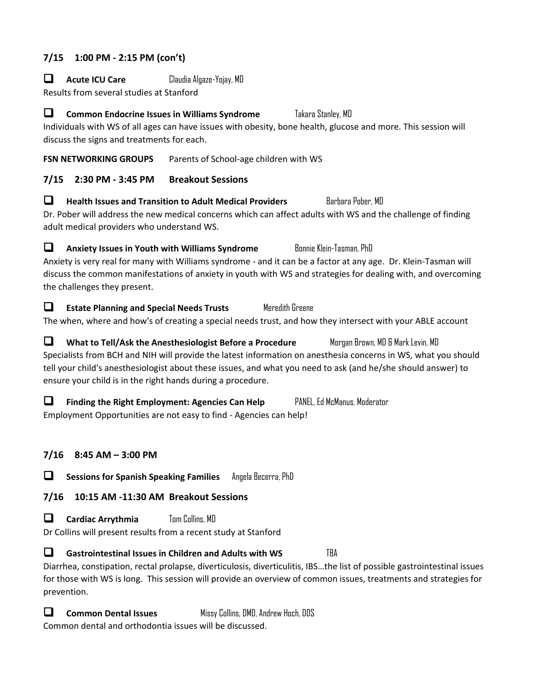### **7/15 1:00 PM - 2:15 PM (con't)**

❑ **Acute ICU Care** Claudia Algaze-Yojay, MD

Results from several studies at Stanford

❑ **Common Endocrine Issues in Williams Syndrome** Takara Stanley, MD Individuals with WS of all ages can have issues with obesity, bone health, glucose and more. This session will discuss the signs and treatments for each.

**FSN NETWORKING GROUPS** Parents of School-age children with WS

# **7/15 2:30 PM - 3:45 PM Breakout Sessions**

❑ **Health Issues and Transition to Adult Medical Providers** Barbara Pober, MD Dr. Pober will address the new medical concerns which can affect adults with WS and the challenge of finding adult medical providers who understand WS.

□ **Anxiety Issues in Youth with Williams Syndrome** Bonnie Klein-Tasman, PhD Anxiety is very real for many with Williams syndrome - and it can be a factor at any age. Dr. Klein-Tasman will discuss the common manifestations of anxiety in youth with WS and strategies for dealing with, and overcoming the challenges they present.

❑ **Estate Planning and Special Needs Trusts** Meredith Greene The when, where and how's of creating a special needs trust, and how they intersect with your ABLE account

❑ **What to Tell/Ask the Anesthesiologist Before a Procedure** Morgan Brown, MD & Mark Levin, MD Specialists from BCH and NIH will provide the latest information on anesthesia concerns in WS, what you should tell your child's anesthesiologist about these issues, and what you need to ask (and he/she should answer) to ensure your child is in the right hands during a procedure.

❑ **Finding the Right Employment: Agencies Can Help** PANEL, Ed McManus, Moderator Employment Opportunities are not easy to find - Agencies can help!

# **7/16 8:45 AM – 3:00 PM**

❑ **Sessions for Spanish Speaking Families** Angela Becerra, PhD

**7/16 10:15 AM -11:30 AM Breakout Sessions**

❑ **Cardiac Arrythmia** Tom Collins, MD

Dr Collins will present results from a recent study at Stanford

❑ **Gastrointestinal Issues in Children and Adults with WS** TBA Diarrhea, constipation, rectal prolapse, diverticulosis, diverticulitis, IBS…the list of possible gastrointestinal issues for those with WS is long. This session will provide an overview of common issues, treatments and strategies for prevention.

❑ **Common Dental Issues** Missy Collins, DMD, Andrew Hoch, DDS

Common dental and orthodontia issues will be discussed.